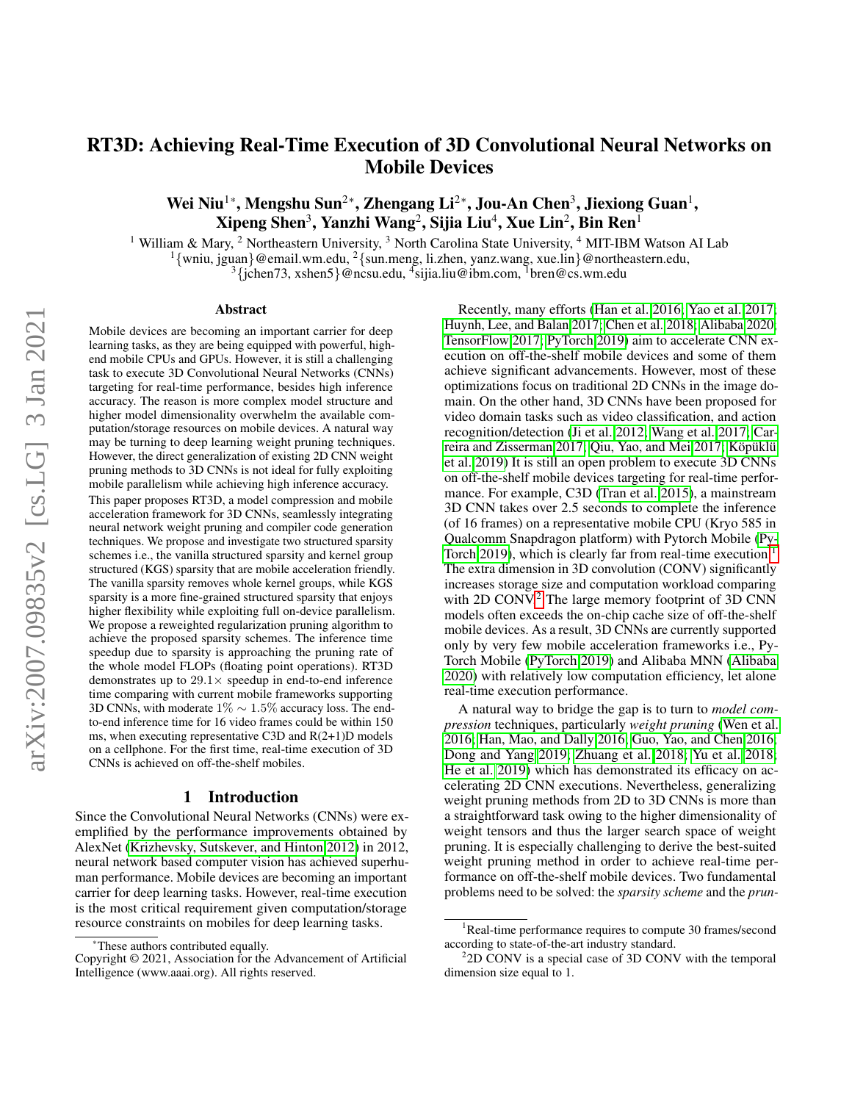# RT3D: Achieving Real-Time Execution of 3D Convolutional Neural Networks on Mobile Devices

Wei Niu $^{1*}$ , Mengshu Sun $^{2*}$ , Zhengang Li $^{2*}$ , Jou-An Chen $^{3}$ , Jiexiong Guan $^{1}$ ,  $\mathbf{X}$ ipeng Shen $^3$ , Yanzhi Wang $^2$ , Sijia Liu $^4$ ,  $\mathbf{X}$ ue Lin $^2$ , Bin Ren $^1$ 

<sup>1</sup> William & Mary, <sup>2</sup> Northeastern University, <sup>3</sup> North Carolina State University, <sup>4</sup> MIT-IBM Watson AI Lab

<sup>1</sup>{wniu, jguan}@email.wm.edu, <sup>2</sup>{sun.meng, li.zhen, yanz.wang, xue.lin}@northeastern.edu,

 $3\{\text{jchen73}, \text{xshen5}\}$ @ncsu.edu,  $4\text{sijia.liu@ibm.com}, \frac{1}{2}\text{bren@cs.wm.edu}$ 

#### Abstract

Mobile devices are becoming an important carrier for deep learning tasks, as they are being equipped with powerful, highend mobile CPUs and GPUs. However, it is still a challenging task to execute 3D Convolutional Neural Networks (CNNs) targeting for real-time performance, besides high inference accuracy. The reason is more complex model structure and higher model dimensionality overwhelm the available computation/storage resources on mobile devices. A natural way may be turning to deep learning weight pruning techniques. However, the direct generalization of existing 2D CNN weight pruning methods to 3D CNNs is not ideal for fully exploiting mobile parallelism while achieving high inference accuracy. This paper proposes RT3D, a model compression and mobile acceleration framework for 3D CNNs, seamlessly integrating neural network weight pruning and compiler code generation techniques. We propose and investigate two structured sparsity schemes i.e., the vanilla structured sparsity and kernel group structured (KGS) sparsity that are mobile acceleration friendly. The vanilla sparsity removes whole kernel groups, while KGS sparsity is a more fine-grained structured sparsity that enjoys higher flexibility while exploiting full on-device parallelism. We propose a reweighted regularization pruning algorithm to achieve the proposed sparsity schemes. The inference time speedup due to sparsity is approaching the pruning rate of the whole model FLOPs (floating point operations). RT3D demonstrates up to  $29.1 \times$  speedup in end-to-end inference time comparing with current mobile frameworks supporting 3D CNNs, with moderate  $1\% \sim 1.5\%$  accuracy loss. The endto-end inference time for 16 video frames could be within 150 ms, when executing representative C3D and R(2+1)D models on a cellphone. For the first time, real-time execution of 3D CNNs is achieved on off-the-shelf mobiles.

#### 1 Introduction

Since the Convolutional Neural Networks (CNNs) were exemplified by the performance improvements obtained by AlexNet [\(Krizhevsky, Sutskever, and Hinton 2012\)](#page-7-0) in 2012, neural network based computer vision has achieved superhuman performance. Mobile devices are becoming an important carrier for deep learning tasks. However, real-time execution is the most critical requirement given computation/storage resource constraints on mobiles for deep learning tasks.

Recently, many efforts [\(Han et al. 2016;](#page-7-1) [Yao et al. 2017;](#page-8-0) [Huynh, Lee, and Balan 2017;](#page-7-2) [Chen et al. 2018;](#page-7-3) [Alibaba 2020;](#page-7-4) [TensorFlow 2017;](#page-8-1) [PyTorch 2019\)](#page-8-2) aim to accelerate CNN execution on off-the-shelf mobile devices and some of them achieve significant advancements. However, most of these optimizations focus on traditional 2D CNNs in the image domain. On the other hand, 3D CNNs have been proposed for video domain tasks such as video classification, and action recognition/detection [\(Ji et al. 2012;](#page-7-5) [Wang et al. 2017;](#page-8-3) [Car](#page-7-6)[reira and Zisserman 2017;](#page-7-6) [Qiu, Yao, and Mei 2017;](#page-8-4) Köpüklü [et al. 2019\)](#page-7-7) It is still an open problem to execute 3D CNNs on off-the-shelf mobile devices targeting for real-time performance. For example, C3D [\(Tran et al. 2015\)](#page-8-5), a mainstream 3D CNN takes over 2.5 seconds to complete the inference (of 16 frames) on a representative mobile CPU (Kryo 585 in Qualcomm Snapdragon platform) with Pytorch Mobile [\(Py-](#page-8-2)[Torch 2019\)](#page-8-2), which is clearly far from real-time execution.<sup>[1](#page-0-0)</sup> The extra dimension in 3D convolution (CONV) significantly increases storage size and computation workload comparing with [2](#page-0-1)D CONV.<sup>2</sup> The large memory footprint of 3D CNN models often exceeds the on-chip cache size of off-the-shelf mobile devices. As a result, 3D CNNs are currently supported only by very few mobile acceleration frameworks i.e., Py-Torch Mobile [\(PyTorch 2019\)](#page-8-2) and Alibaba MNN [\(Alibaba](#page-7-4) [2020\)](#page-7-4) with relatively low computation efficiency, let alone real-time execution performance.

A natural way to bridge the gap is to turn to *model compression* techniques, particularly *weight pruning* [\(Wen et al.](#page-8-6) [2016;](#page-8-6) [Han, Mao, and Dally 2016;](#page-7-8) [Guo, Yao, and Chen 2016;](#page-7-9) [Dong and Yang 2019;](#page-7-10) [Zhuang et al. 2018;](#page-8-7) [Yu et al. 2018;](#page-8-8) [He et al. 2019\)](#page-7-11) which has demonstrated its efficacy on accelerating 2D CNN executions. Nevertheless, generalizing weight pruning methods from 2D to 3D CNNs is more than a straightforward task owing to the higher dimensionality of weight tensors and thus the larger search space of weight pruning. It is especially challenging to derive the best-suited weight pruning method in order to achieve real-time performance on off-the-shelf mobile devices. Two fundamental problems need to be solved: the *sparsity scheme* and the *prun-*

These authors contributed equally.

Copyright © 2021, Association for the Advancement of Artificial Intelligence (www.aaai.org). All rights reserved.

<span id="page-0-0"></span> ${}^{1}$ Real-time performance requires to compute 30 frames/second according to state-of-the-art industry standard.

<span id="page-0-1"></span><sup>&</sup>lt;sup>2</sup>2D CONV is a special case of 3D CONV with the temporal dimension size equal to 1.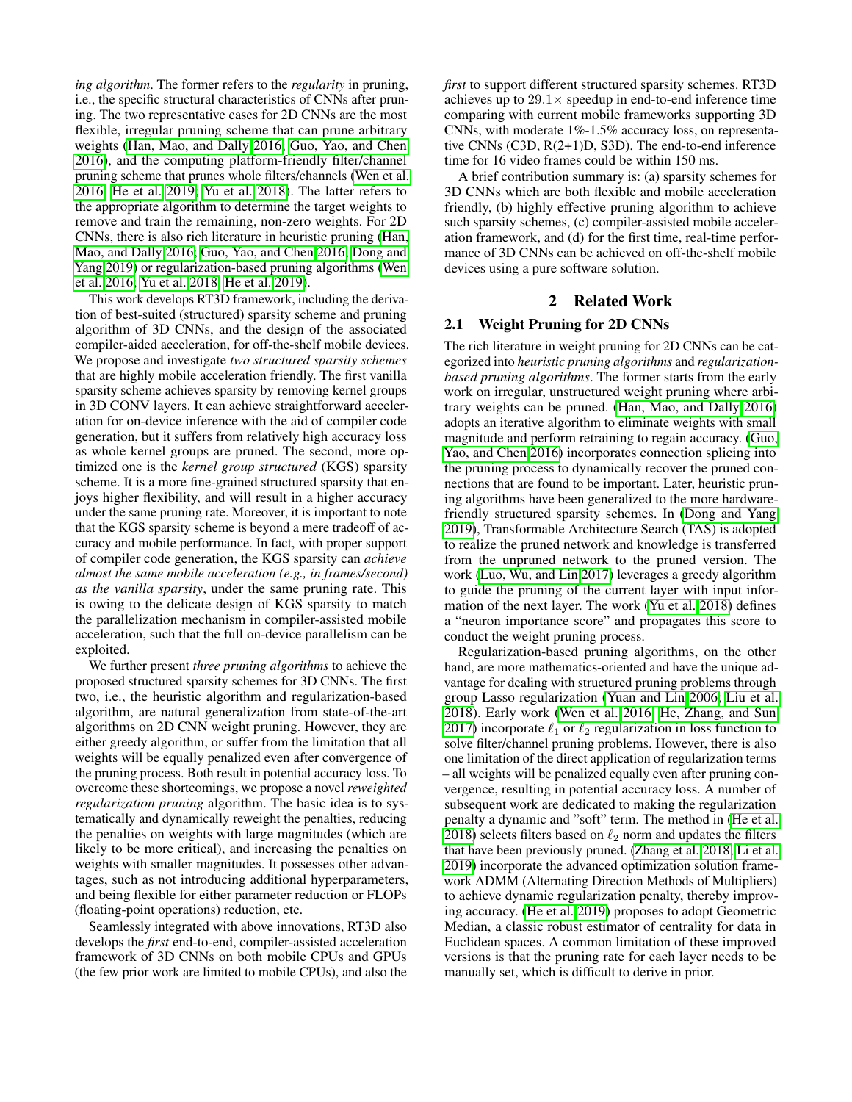*ing algorithm*. The former refers to the *regularity* in pruning, i.e., the specific structural characteristics of CNNs after pruning. The two representative cases for 2D CNNs are the most flexible, irregular pruning scheme that can prune arbitrary weights [\(Han, Mao, and Dally 2016;](#page-7-8) [Guo, Yao, and Chen](#page-7-9) [2016\)](#page-7-9), and the computing platform-friendly filter/channel pruning scheme that prunes whole filters/channels [\(Wen et al.](#page-8-6) [2016;](#page-8-6) [He et al. 2019;](#page-7-11) [Yu et al. 2018\)](#page-8-8). The latter refers to the appropriate algorithm to determine the target weights to remove and train the remaining, non-zero weights. For 2D CNNs, there is also rich literature in heuristic pruning [\(Han,](#page-7-8) [Mao, and Dally 2016;](#page-7-8) [Guo, Yao, and Chen 2016;](#page-7-9) [Dong and](#page-7-10) [Yang 2019\)](#page-7-10) or regularization-based pruning algorithms [\(Wen](#page-8-6) [et al. 2016;](#page-8-6) [Yu et al. 2018;](#page-8-8) [He et al. 2019\)](#page-7-11).

This work develops RT3D framework, including the derivation of best-suited (structured) sparsity scheme and pruning algorithm of 3D CNNs, and the design of the associated compiler-aided acceleration, for off-the-shelf mobile devices. We propose and investigate *two structured sparsity schemes* that are highly mobile acceleration friendly. The first vanilla sparsity scheme achieves sparsity by removing kernel groups in 3D CONV layers. It can achieve straightforward acceleration for on-device inference with the aid of compiler code generation, but it suffers from relatively high accuracy loss as whole kernel groups are pruned. The second, more optimized one is the *kernel group structured* (KGS) sparsity scheme. It is a more fine-grained structured sparsity that enjoys higher flexibility, and will result in a higher accuracy under the same pruning rate. Moreover, it is important to note that the KGS sparsity scheme is beyond a mere tradeoff of accuracy and mobile performance. In fact, with proper support of compiler code generation, the KGS sparsity can *achieve almost the same mobile acceleration (e.g., in frames/second) as the vanilla sparsity*, under the same pruning rate. This is owing to the delicate design of KGS sparsity to match the parallelization mechanism in compiler-assisted mobile acceleration, such that the full on-device parallelism can be exploited.

We further present *three pruning algorithms* to achieve the proposed structured sparsity schemes for 3D CNNs. The first two, i.e., the heuristic algorithm and regularization-based algorithm, are natural generalization from state-of-the-art algorithms on 2D CNN weight pruning. However, they are either greedy algorithm, or suffer from the limitation that all weights will be equally penalized even after convergence of the pruning process. Both result in potential accuracy loss. To overcome these shortcomings, we propose a novel *reweighted regularization pruning* algorithm. The basic idea is to systematically and dynamically reweight the penalties, reducing the penalties on weights with large magnitudes (which are likely to be more critical), and increasing the penalties on weights with smaller magnitudes. It possesses other advantages, such as not introducing additional hyperparameters, and being flexible for either parameter reduction or FLOPs (floating-point operations) reduction, etc.

Seamlessly integrated with above innovations, RT3D also develops the *first* end-to-end, compiler-assisted acceleration framework of 3D CNNs on both mobile CPUs and GPUs (the few prior work are limited to mobile CPUs), and also the

*first* to support different structured sparsity schemes. RT3D achieves up to  $29.1 \times$  speedup in end-to-end inference time comparing with current mobile frameworks supporting 3D CNNs, with moderate 1%-1.5% accuracy loss, on representative CNNs (C3D, R(2+1)D, S3D). The end-to-end inference time for 16 video frames could be within 150 ms.

A brief contribution summary is: (a) sparsity schemes for 3D CNNs which are both flexible and mobile acceleration friendly, (b) highly effective pruning algorithm to achieve such sparsity schemes, (c) compiler-assisted mobile acceleration framework, and (d) for the first time, real-time performance of 3D CNNs can be achieved on off-the-shelf mobile devices using a pure software solution.

## 2 Related Work

#### <span id="page-1-0"></span>2.1 Weight Pruning for 2D CNNs

The rich literature in weight pruning for 2D CNNs can be categorized into *heuristic pruning algorithms* and *regularizationbased pruning algorithms*. The former starts from the early work on irregular, unstructured weight pruning where arbitrary weights can be pruned. [\(Han, Mao, and Dally 2016\)](#page-7-8) adopts an iterative algorithm to eliminate weights with small magnitude and perform retraining to regain accuracy. [\(Guo,](#page-7-9) [Yao, and Chen 2016\)](#page-7-9) incorporates connection splicing into the pruning process to dynamically recover the pruned connections that are found to be important. Later, heuristic pruning algorithms have been generalized to the more hardwarefriendly structured sparsity schemes. In [\(Dong and Yang](#page-7-10) [2019\)](#page-7-10), Transformable Architecture Search (TAS) is adopted to realize the pruned network and knowledge is transferred from the unpruned network to the pruned version. The work [\(Luo, Wu, and Lin 2017\)](#page-8-9) leverages a greedy algorithm to guide the pruning of the current layer with input information of the next layer. The work [\(Yu et al. 2018\)](#page-8-8) defines a "neuron importance score" and propagates this score to conduct the weight pruning process.

Regularization-based pruning algorithms, on the other hand, are more mathematics-oriented and have the unique advantage for dealing with structured pruning problems through group Lasso regularization [\(Yuan and Lin 2006;](#page-8-10) [Liu et al.](#page-8-11) [2018\)](#page-8-11). Early work [\(Wen et al. 2016;](#page-8-6) [He, Zhang, and Sun](#page-7-12) [2017\)](#page-7-12) incorporate  $\ell_1$  or  $\ell_2$  regularization in loss function to solve filter/channel pruning problems. However, there is also one limitation of the direct application of regularization terms – all weights will be penalized equally even after pruning convergence, resulting in potential accuracy loss. A number of subsequent work are dedicated to making the regularization penalty a dynamic and "soft" term. The method in [\(He et al.](#page-7-13) [2018\)](#page-7-13) selects filters based on  $\ell_2$  norm and updates the filters that have been previously pruned. [\(Zhang et al. 2018;](#page-8-12) [Li et al.](#page-8-13) [2019\)](#page-8-13) incorporate the advanced optimization solution framework ADMM (Alternating Direction Methods of Multipliers) to achieve dynamic regularization penalty, thereby improving accuracy. [\(He et al. 2019\)](#page-7-11) proposes to adopt Geometric Median, a classic robust estimator of centrality for data in Euclidean spaces. A common limitation of these improved versions is that the pruning rate for each layer needs to be manually set, which is difficult to derive in prior.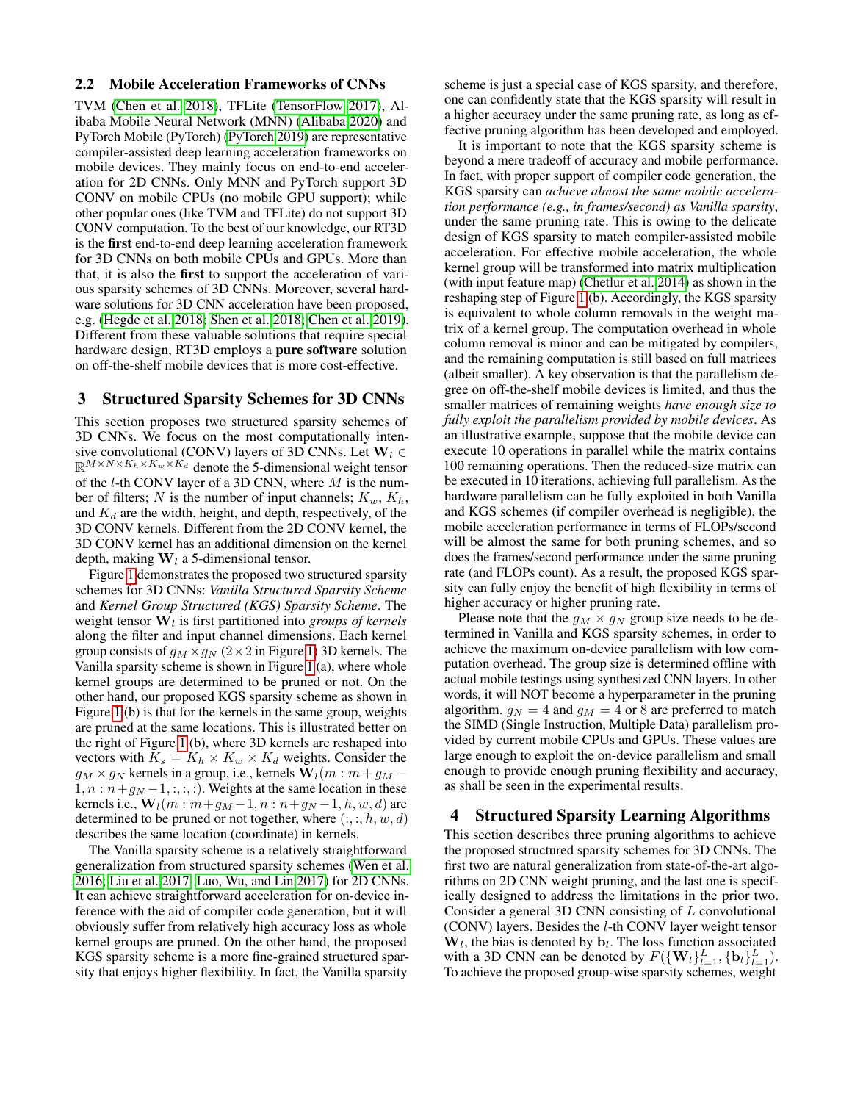#### 2.2 Mobile Acceleration Frameworks of CNNs

TVM [\(Chen et al. 2018\)](#page-7-3), TFLite [\(TensorFlow 2017\)](#page-8-1), Alibaba Mobile Neural Network (MNN) [\(Alibaba 2020\)](#page-7-4) and PyTorch Mobile (PyTorch) [\(PyTorch 2019\)](#page-8-2) are representative compiler-assisted deep learning acceleration frameworks on mobile devices. They mainly focus on end-to-end acceleration for 2D CNNs. Only MNN and PyTorch support 3D CONV on mobile CPUs (no mobile GPU support); while other popular ones (like TVM and TFLite) do not support 3D CONV computation. To the best of our knowledge, our RT3D is the first end-to-end deep learning acceleration framework for 3D CNNs on both mobile CPUs and GPUs. More than that, it is also the first to support the acceleration of various sparsity schemes of 3D CNNs. Moreover, several hardware solutions for 3D CNN acceleration have been proposed, e.g. [\(Hegde et al. 2018;](#page-7-14) [Shen et al. 2018;](#page-8-14) [Chen et al. 2019\)](#page-7-15). Different from these valuable solutions that require special hardware design, RT3D employs a pure software solution on off-the-shelf mobile devices that is more cost-effective.

# 3 Structured Sparsity Schemes for 3D CNNs

This section proposes two structured sparsity schemes of 3D CNNs. We focus on the most computationally intensive convolutional (CONV) layers of 3D CNNs. Let  $W_l \in$  $\mathbb{R}^{M \times N \times K_h \times K_w \times K_d}$  denote the 5-dimensional weight tensor of the  $l$ -th CONV layer of a 3D CNN, where  $M$  is the number of filters; N is the number of input channels;  $K_w$ ,  $K_h$ , and  $K_d$  are the width, height, and depth, respectively, of the 3D CONV kernels. Different from the 2D CONV kernel, the 3D CONV kernel has an additional dimension on the kernel depth, making  $W_l$  a 5-dimensional tensor.

Figure [1](#page-3-0) demonstrates the proposed two structured sparsity schemes for 3D CNNs: *Vanilla Structured Sparsity Scheme* and *Kernel Group Structured (KGS) Sparsity Scheme*. The weight tensor  $W_l$  is first partitioned into *groups of kernels* along the filter and input channel dimensions. Each kernel group consists of  $g_M \times g_N$  (2×2 in Figure [1\)](#page-3-0) 3D kernels. The Vanilla sparsity scheme is shown in Figure [1](#page-3-0) (a), where whole kernel groups are determined to be pruned or not. On the other hand, our proposed KGS sparsity scheme as shown in Figure [1](#page-3-0) (b) is that for the kernels in the same group, weights are pruned at the same locations. This is illustrated better on the right of Figure [1](#page-3-0) (b), where 3D kernels are reshaped into vectors with  $K_s = K_h \times K_w \times K_d$  weights. Consider the  $g_M \times g_N$  kernels in a group, i.e., kernels  $\mathbf{W}_l(m : m + g_M 1, n : n+g_N-1, \ldots;$ ). Weights at the same location in these kernels i.e.,  $W_l(m : m + g_M - 1, n : n + g_N - 1, h, w, d)$  are determined to be pruned or not together, where  $(:, :, h, w, d)$ describes the same location (coordinate) in kernels.

The Vanilla sparsity scheme is a relatively straightforward generalization from structured sparsity schemes [\(Wen et al.](#page-8-6) [2016;](#page-8-6) [Liu et al. 2017;](#page-8-15) [Luo, Wu, and Lin 2017\)](#page-8-9) for 2D CNNs. It can achieve straightforward acceleration for on-device inference with the aid of compiler code generation, but it will obviously suffer from relatively high accuracy loss as whole kernel groups are pruned. On the other hand, the proposed KGS sparsity scheme is a more fine-grained structured sparsity that enjoys higher flexibility. In fact, the Vanilla sparsity

scheme is just a special case of KGS sparsity, and therefore, one can confidently state that the KGS sparsity will result in a higher accuracy under the same pruning rate, as long as effective pruning algorithm has been developed and employed.

It is important to note that the KGS sparsity scheme is beyond a mere tradeoff of accuracy and mobile performance. In fact, with proper support of compiler code generation, the KGS sparsity can *achieve almost the same mobile acceleration performance (e.g., in frames/second) as Vanilla sparsity*, under the same pruning rate. This is owing to the delicate design of KGS sparsity to match compiler-assisted mobile acceleration. For effective mobile acceleration, the whole kernel group will be transformed into matrix multiplication (with input feature map) [\(Chetlur et al. 2014\)](#page-7-16) as shown in the reshaping step of Figure [1](#page-3-0) (b). Accordingly, the KGS sparsity is equivalent to whole column removals in the weight matrix of a kernel group. The computation overhead in whole column removal is minor and can be mitigated by compilers, and the remaining computation is still based on full matrices (albeit smaller). A key observation is that the parallelism degree on off-the-shelf mobile devices is limited, and thus the smaller matrices of remaining weights *have enough size to fully exploit the parallelism provided by mobile devices*. As an illustrative example, suppose that the mobile device can execute 10 operations in parallel while the matrix contains 100 remaining operations. Then the reduced-size matrix can be executed in 10 iterations, achieving full parallelism. As the hardware parallelism can be fully exploited in both Vanilla and KGS schemes (if compiler overhead is negligible), the mobile acceleration performance in terms of FLOPs/second will be almost the same for both pruning schemes, and so does the frames/second performance under the same pruning rate (and FLOPs count). As a result, the proposed KGS sparsity can fully enjoy the benefit of high flexibility in terms of higher accuracy or higher pruning rate.

Please note that the  $g_M \times g_N$  group size needs to be determined in Vanilla and KGS sparsity schemes, in order to achieve the maximum on-device parallelism with low computation overhead. The group size is determined offline with actual mobile testings using synthesized CNN layers. In other words, it will NOT become a hyperparameter in the pruning algorithm.  $g_N = 4$  and  $g_M = 4$  or 8 are preferred to match the SIMD (Single Instruction, Multiple Data) parallelism provided by current mobile CPUs and GPUs. These values are large enough to exploit the on-device parallelism and small enough to provide enough pruning flexibility and accuracy, as shall be seen in the experimental results.

#### 4 Structured Sparsity Learning Algorithms

This section describes three pruning algorithms to achieve the proposed structured sparsity schemes for 3D CNNs. The first two are natural generalization from state-of-the-art algorithms on 2D CNN weight pruning, and the last one is specifically designed to address the limitations in the prior two. Consider a general 3D CNN consisting of L convolutional (CONV) layers. Besides the l-th CONV layer weight tensor  $W_l$ , the bias is denoted by  $b_l$ . The loss function associated with a 3D CNN can be denoted by  $F(\{\mathbf{W}_{l}\}_{l=1}^{L}, {\{\mathbf{b}_{l}\}}_{l=1}^{L})$ . To achieve the proposed group-wise sparsity schemes, weight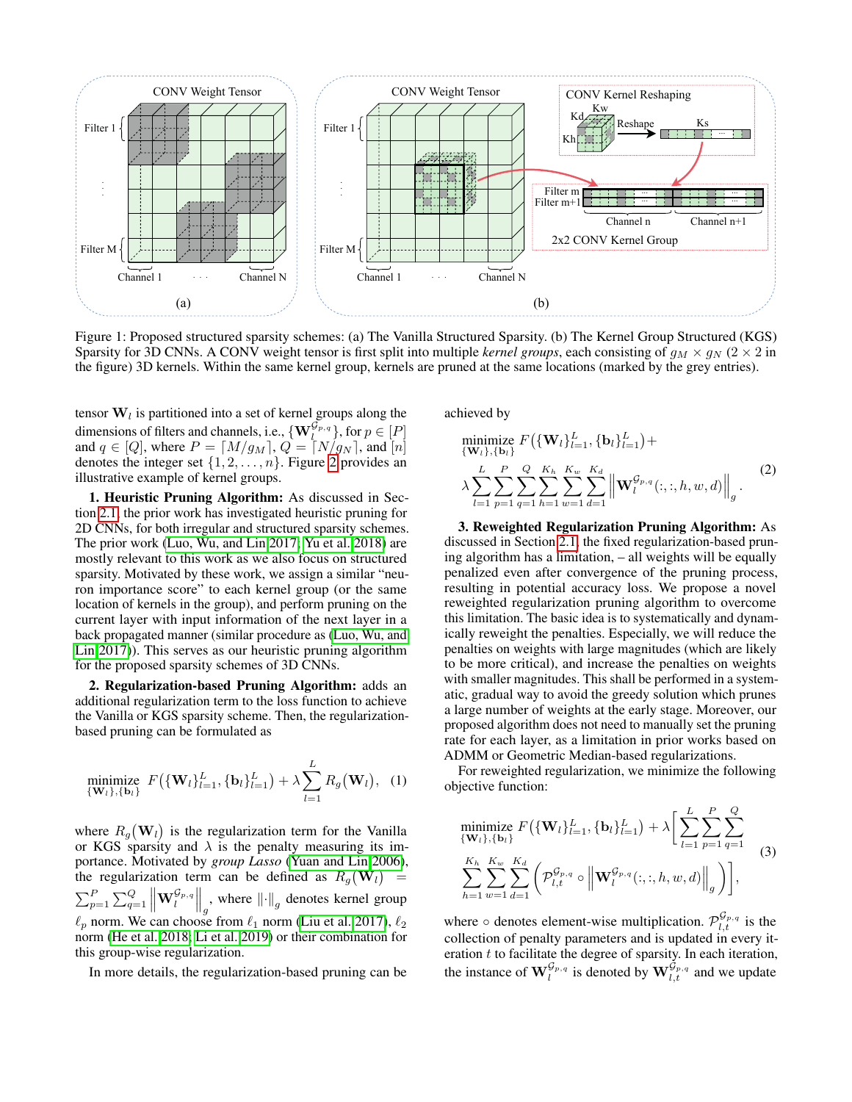<span id="page-3-0"></span>

Figure 1: Proposed structured sparsity schemes: (a) The Vanilla Structured Sparsity. (b) The Kernel Group Structured (KGS) Sparsity for 3D CNNs. A CONV weight tensor is first split into multiple *kernel groups*, each consisting of  $g_M \times g_N$  ( $2 \times 2$  in the figure) 3D kernels. Within the same kernel group, kernels are pruned at the same locations (marked by the grey entries).

tensor  $W_l$  is partitioned into a set of kernel groups along the dimensions of filters and channels, i.e.,  $\{ \mathbf{W}_{l}^{\mathcal{G}_{p,q}} \}$ , for  $p \in [P]$ and  $q \in [Q]$ , where  $P = [M/g_M], Q = [N/g_N]$ , and  $[n]$ denotes the integer set  $\{1, 2, \ldots, n\}$  $\{1, 2, \ldots, n\}$  $\{1, 2, \ldots, n\}$ . Figure 2 provides an illustrative example of kernel groups.

1. Heuristic Pruning Algorithm: As discussed in Section [2.1,](#page-1-0) the prior work has investigated heuristic pruning for 2D CNNs, for both irregular and structured sparsity schemes. The prior work [\(Luo, Wu, and Lin 2017;](#page-8-9) [Yu et al. 2018\)](#page-8-8) are mostly relevant to this work as we also focus on structured sparsity. Motivated by these work, we assign a similar "neuron importance score" to each kernel group (or the same location of kernels in the group), and perform pruning on the current layer with input information of the next layer in a back propagated manner (similar procedure as [\(Luo, Wu, and](#page-8-9) [Lin 2017\)](#page-8-9)). This serves as our heuristic pruning algorithm for the proposed sparsity schemes of 3D CNNs.

2. Regularization-based Pruning Algorithm: adds an additional regularization term to the loss function to achieve the Vanilla or KGS sparsity scheme. Then, the regularizationbased pruning can be formulated as

minimize 
$$
F(\{\mathbf{W}_l\}_{l=1}^L, \{\mathbf{b}_l\}_{l=1}^L) + \lambda \sum_{l=1}^L R_g(\mathbf{W}_l),
$$
 (1)

where  $R_g(\mathbf{W}_l)$  is the regularization term for the Vanilla or KGS sparsity and  $\lambda$  is the penalty measuring its importance. Motivated by *group Lasso* [\(Yuan and Lin 2006\)](#page-8-10), the regularization term can be defined as  $R_g(\mathbf{W}_l)$  =  $\sum_{p=1}^{P} \sum_{q=1}^{Q} \left\| \mathbf{W}_{l}^{\mathcal{G}_{p,q}} \right\|_{g}$ , where  $\left\| \cdot \right\|_{g}$  denotes kernel group  $\ell_p$  norm. We can choose from  $\ell_1$  norm [\(Liu et al. 2017\)](#page-8-15),  $\ell_2$ norm [\(He et al. 2018;](#page-7-13) [Li et al. 2019\)](#page-8-13) or their combination for this group-wise regularization.

In more details, the regularization-based pruning can be

achieved by

minimize 
$$
F(\{\mathbf{W}_l\}_{l=1}^L, \{\mathbf{b}_l\}_{l=1}^L)
$$
  
\n
$$
\lambda \sum_{l=1}^L \sum_{p=1}^P \sum_{q=1}^Q \sum_{h=1}^{K_h} \sum_{w=1}^{K_w} \sum_{d=1}^{K_d} \left\| \mathbf{W}_l^{\mathcal{G}_{p,q}}(:, :, h, w, d) \right\|_g.
$$
\n(2)

3. Reweighted Regularization Pruning Algorithm: As discussed in Section [2.1,](#page-1-0) the fixed regularization-based pruning algorithm has a limitation, – all weights will be equally penalized even after convergence of the pruning process, resulting in potential accuracy loss. We propose a novel reweighted regularization pruning algorithm to overcome this limitation. The basic idea is to systematically and dynamically reweight the penalties. Especially, we will reduce the penalties on weights with large magnitudes (which are likely to be more critical), and increase the penalties on weights with smaller magnitudes. This shall be performed in a systematic, gradual way to avoid the greedy solution which prunes a large number of weights at the early stage. Moreover, our proposed algorithm does not need to manually set the pruning rate for each layer, as a limitation in prior works based on ADMM or Geometric Median-based regularizations.

For reweighted regularization, we minimize the following objective function:

minimize 
$$
F(\{\mathbf{W}_l\}_{l=1}^L, \{\mathbf{b}_l\}_{l=1}^L) + \lambda \Big[\sum_{l=1}^L \sum_{p=1}^P \sum_{q=1}^Q \Big]
$$
  

$$
\sum_{h=1}^{K_h} \sum_{w=1}^{K_w} \sum_{d=1}^{K_d} \Big( \mathcal{P}_{l,t}^{\mathcal{G}_{p,q}} \circ \left\| \mathbf{W}_l^{\mathcal{G}_{p,q}}(:, :, h, w, d) \right\|_g \Big) \Big],
$$
 (3)

where  $\circ$  denotes element-wise multiplication.  $\mathcal{P}_{l,t}^{\mathcal{G}_{p,q}}$  is the collection of penalty parameters and is updated in every iteration  $t$  to facilitate the degree of sparsity. In each iteration, the instance of  $\mathbf{W}_{l}^{\mathcal{G}_{p,q}}$  is denoted by  $\mathbf{W}_{l,t}^{\mathcal{G}_{p,q}}$  and we update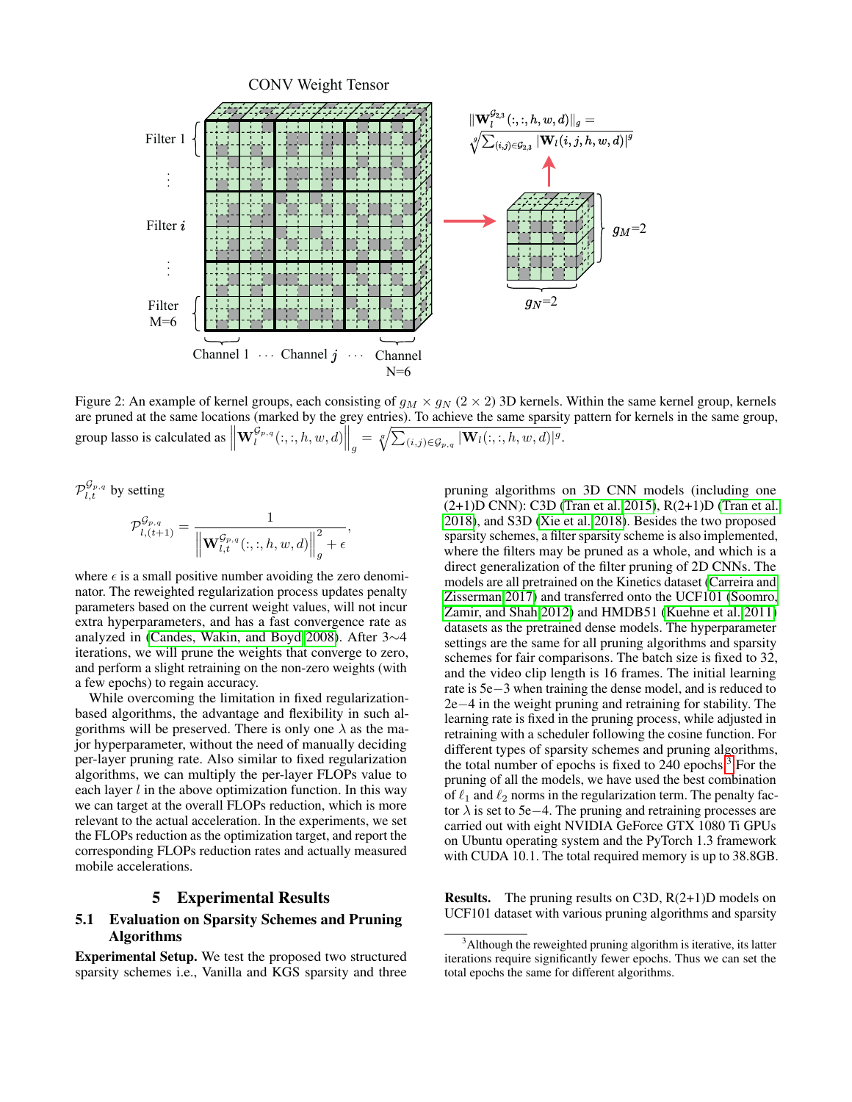<span id="page-4-0"></span>

Figure 2: An example of kernel groups, each consisting of  $g_M \times g_N$  (2  $\times$  2) 3D kernels. Within the same kernel group, kernels are pruned at the same locations (marked by the grey entries). To achieve the same sparsity pattern for kernels in the same group, group lasso is calculated as  $\left\| \mathbf{W}^{\mathcal{G}_{p,q}}_l(:,:,h,w,d) \right\|_g = \sqrt[q]{\sum_{(i,j) \in \mathcal{G}_{p,q}} |\mathbf{W}_l(:,:,h,w,d)|^g}.$ 

 $\mathcal{P}_{l,t}^{\mathcal{G}_{p,q}}$  by setting

$$
\mathcal{P}_{l,(t+1)}^{\mathcal{G}_{p,q}} = \frac{1}{\left\| \mathbf{W}_{l,t}^{\mathcal{G}_{p,q}}(:,:,h,w,d) \right\|_{g}^{2} + \epsilon},
$$

where  $\epsilon$  is a small positive number avoiding the zero denominator. The reweighted regularization process updates penalty parameters based on the current weight values, will not incur extra hyperparameters, and has a fast convergence rate as analyzed in [\(Candes, Wakin, and Boyd 2008\)](#page-7-17). After 3∼4 iterations, we will prune the weights that converge to zero, and perform a slight retraining on the non-zero weights (with a few epochs) to regain accuracy.

While overcoming the limitation in fixed regularizationbased algorithms, the advantage and flexibility in such algorithms will be preserved. There is only one  $\lambda$  as the major hyperparameter, without the need of manually deciding per-layer pruning rate. Also similar to fixed regularization algorithms, we can multiply the per-layer FLOPs value to each layer  $l$  in the above optimization function. In this way we can target at the overall FLOPs reduction, which is more relevant to the actual acceleration. In the experiments, we set the FLOPs reduction as the optimization target, and report the corresponding FLOPs reduction rates and actually measured mobile accelerations.

## 5 Experimental Results

# 5.1 Evaluation on Sparsity Schemes and Pruning Algorithms

Experimental Setup. We test the proposed two structured sparsity schemes i.e., Vanilla and KGS sparsity and three pruning algorithms on 3D CNN models (including one (2+1)D CNN): C3D [\(Tran et al. 2015\)](#page-8-5), R(2+1)D [\(Tran et al.](#page-8-16) [2018\)](#page-8-16), and S3D [\(Xie et al. 2018\)](#page-8-17). Besides the two proposed sparsity schemes, a filter sparsity scheme is also implemented, where the filters may be pruned as a whole, and which is a direct generalization of the filter pruning of 2D CNNs. The models are all pretrained on the Kinetics dataset [\(Carreira and](#page-7-6) [Zisserman 2017\)](#page-7-6) and transferred onto the UCF101 [\(Soomro,](#page-8-18) [Zamir, and Shah 2012\)](#page-8-18) and HMDB51 [\(Kuehne et al. 2011\)](#page-8-19) datasets as the pretrained dense models. The hyperparameter settings are the same for all pruning algorithms and sparsity schemes for fair comparisons. The batch size is fixed to 32, and the video clip length is 16 frames. The initial learning rate is 5e−3 when training the dense model, and is reduced to 2e−4 in the weight pruning and retraining for stability. The learning rate is fixed in the pruning process, while adjusted in retraining with a scheduler following the cosine function. For different types of sparsity schemes and pruning algorithms, the total number of epochs is fixed to 240 epochs.[3](#page-4-1) For the pruning of all the models, we have used the best combination of  $\ell_1$  and  $\ell_2$  norms in the regularization term. The penalty factor  $\lambda$  is set to 5e−4. The pruning and retraining processes are carried out with eight NVIDIA GeForce GTX 1080 Ti GPUs on Ubuntu operating system and the PyTorch 1.3 framework with CUDA 10.1. The total required memory is up to 38.8GB.

**Results.** The pruning results on C3D,  $R(2+1)D$  models on UCF101 dataset with various pruning algorithms and sparsity

<span id="page-4-1"></span> $3$ Although the reweighted pruning algorithm is iterative, its latter iterations require significantly fewer epochs. Thus we can set the total epochs the same for different algorithms.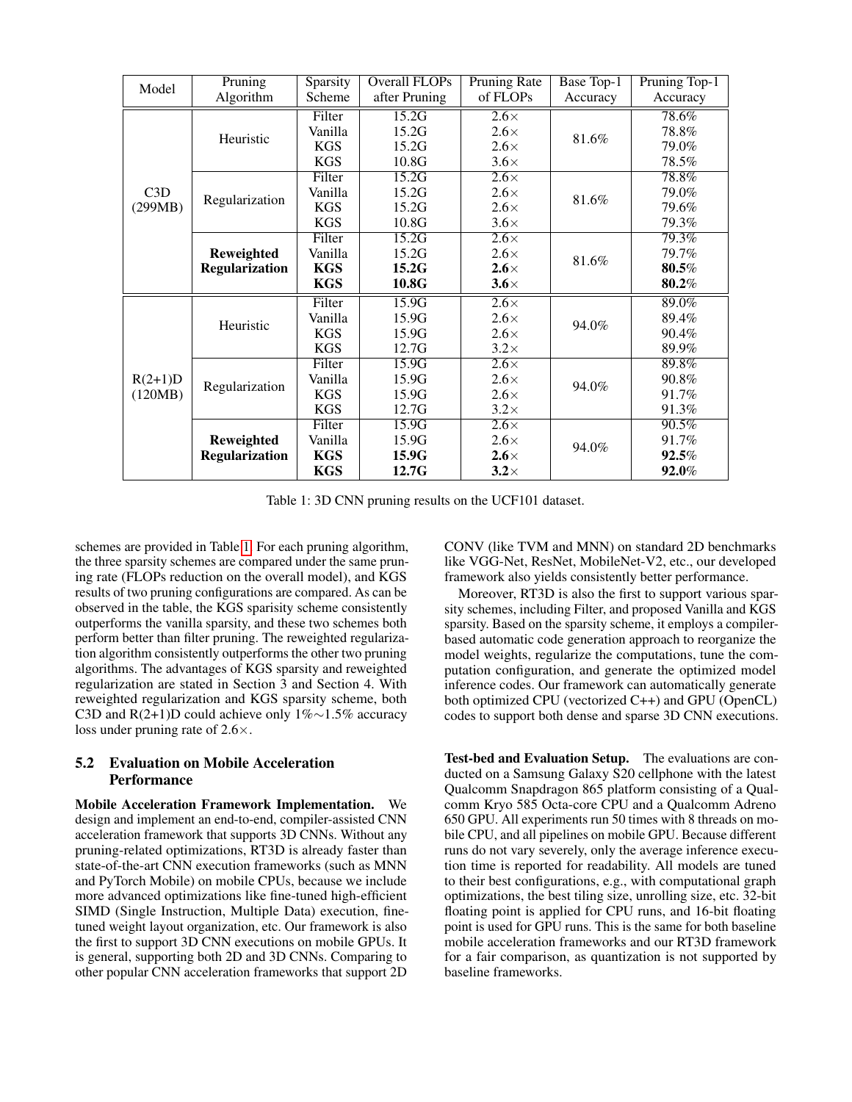<span id="page-5-0"></span>

| Model                | Pruning                             | Sparsity   | Overall FLOPs | <b>Pruning Rate</b> | Base Top-1 | Pruning Top-1 |  |
|----------------------|-------------------------------------|------------|---------------|---------------------|------------|---------------|--|
|                      | Algorithm                           | Scheme     | after Pruning | of FLOPs            | Accuracy   | Accuracy      |  |
| C3D<br>(299MB)       |                                     | Filter     | 15.2G         | $2.6\times$         |            | 78.6%         |  |
|                      | Heuristic                           | Vanilla    | 15.2G         | $2.6\times$         |            | 78.8%         |  |
|                      |                                     | <b>KGS</b> | 15.2G         | $2.6\times$         | 81.6%      | 79.0%         |  |
|                      |                                     | <b>KGS</b> | 10.8G         | $3.6\times$         |            | 78.5%         |  |
|                      | Regularization                      | Filter     | 15.2G         | $2.6\times$         |            | 78.8%         |  |
|                      |                                     | Vanilla    | 15.2G         | $2.6\times$         | 81.6%      | 79.0%         |  |
|                      |                                     | <b>KGS</b> | 15.2G         | $2.6\times$         |            | 79.6%         |  |
|                      |                                     | <b>KGS</b> | 10.8G         | $3.6\times$         |            | 79.3%         |  |
|                      | Reweighted<br><b>Regularization</b> | Filter     | 15.2G         | $2.6\times$         |            | $79.3\%$      |  |
|                      |                                     | Vanilla    | 15.2G         | $2.6\times$         | 81.6%      | 79.7%         |  |
|                      |                                     | <b>KGS</b> | 15.2G         | $2.6\times$         |            | 80.5%         |  |
|                      |                                     | <b>KGS</b> | 10.8G         | $3.6\times$         |            | 80.2%         |  |
|                      | Heuristic                           | Filter     | 15.9G         | $2.6\times$         |            | 89.0%         |  |
|                      |                                     | Vanilla    | 15.9G         | $2.6\times$         | 94.0%      | 89.4%         |  |
| $R(2+1)D$<br>(120MB) |                                     | <b>KGS</b> | 15.9G         | $2.6\times$         |            | 90.4%         |  |
|                      |                                     | <b>KGS</b> | 12.7G         | $3.2\times$         |            | 89.9%         |  |
|                      | Regularization                      | Filter     | 15.9G         | $2.6\times$         |            | 89.8%         |  |
|                      |                                     | Vanilla    | 15.9G         | $2.6\times$         | 94.0%      | 90.8%         |  |
|                      |                                     | <b>KGS</b> | 15.9G         | $2.6\times$         |            | 91.7%         |  |
|                      |                                     | <b>KGS</b> | 12.7G         | $3.2\times$         |            | 91.3%         |  |
|                      |                                     | Filter     | 15.9G         | $2.6\times$         |            | 90.5%         |  |
|                      | Reweighted<br><b>Regularization</b> | Vanilla    | 15.9G         | $2.6\times$         | 94.0%      | 91.7%         |  |
|                      |                                     | <b>KGS</b> | 15.9G         | $2.6\times$         |            | $92.5\%$      |  |
|                      |                                     | <b>KGS</b> | 12.7G         | $3.2\times$         |            | 92.0%         |  |

Table 1: 3D CNN pruning results on the UCF101 dataset.

schemes are provided in Table [1.](#page-5-0) For each pruning algorithm, the three sparsity schemes are compared under the same pruning rate (FLOPs reduction on the overall model), and KGS results of two pruning configurations are compared. As can be observed in the table, the KGS sparisity scheme consistently outperforms the vanilla sparsity, and these two schemes both perform better than filter pruning. The reweighted regularization algorithm consistently outperforms the other two pruning algorithms. The advantages of KGS sparsity and reweighted regularization are stated in Section 3 and Section 4. With reweighted regularization and KGS sparsity scheme, both C3D and R(2+1)D could achieve only 1%∼1.5% accuracy loss under pruning rate of 2.6×.

## 5.2 Evaluation on Mobile Acceleration **Performance**

Mobile Acceleration Framework Implementation. We design and implement an end-to-end, compiler-assisted CNN acceleration framework that supports 3D CNNs. Without any pruning-related optimizations, RT3D is already faster than state-of-the-art CNN execution frameworks (such as MNN and PyTorch Mobile) on mobile CPUs, because we include more advanced optimizations like fine-tuned high-efficient SIMD (Single Instruction, Multiple Data) execution, finetuned weight layout organization, etc. Our framework is also the first to support 3D CNN executions on mobile GPUs. It is general, supporting both 2D and 3D CNNs. Comparing to other popular CNN acceleration frameworks that support 2D

CONV (like TVM and MNN) on standard 2D benchmarks like VGG-Net, ResNet, MobileNet-V2, etc., our developed framework also yields consistently better performance.

Moreover, RT3D is also the first to support various sparsity schemes, including Filter, and proposed Vanilla and KGS sparsity. Based on the sparsity scheme, it employs a compilerbased automatic code generation approach to reorganize the model weights, regularize the computations, tune the computation configuration, and generate the optimized model inference codes. Our framework can automatically generate both optimized CPU (vectorized C++) and GPU (OpenCL) codes to support both dense and sparse 3D CNN executions.

Test-bed and Evaluation Setup. The evaluations are conducted on a Samsung Galaxy S20 cellphone with the latest Qualcomm Snapdragon 865 platform consisting of a Qualcomm Kryo 585 Octa-core CPU and a Qualcomm Adreno 650 GPU. All experiments run 50 times with 8 threads on mobile CPU, and all pipelines on mobile GPU. Because different runs do not vary severely, only the average inference execution time is reported for readability. All models are tuned to their best configurations, e.g., with computational graph optimizations, the best tiling size, unrolling size, etc. 32-bit floating point is applied for CPU runs, and 16-bit floating point is used for GPU runs. This is the same for both baseline mobile acceleration frameworks and our RT3D framework for a fair comparison, as quantization is not supported by baseline frameworks.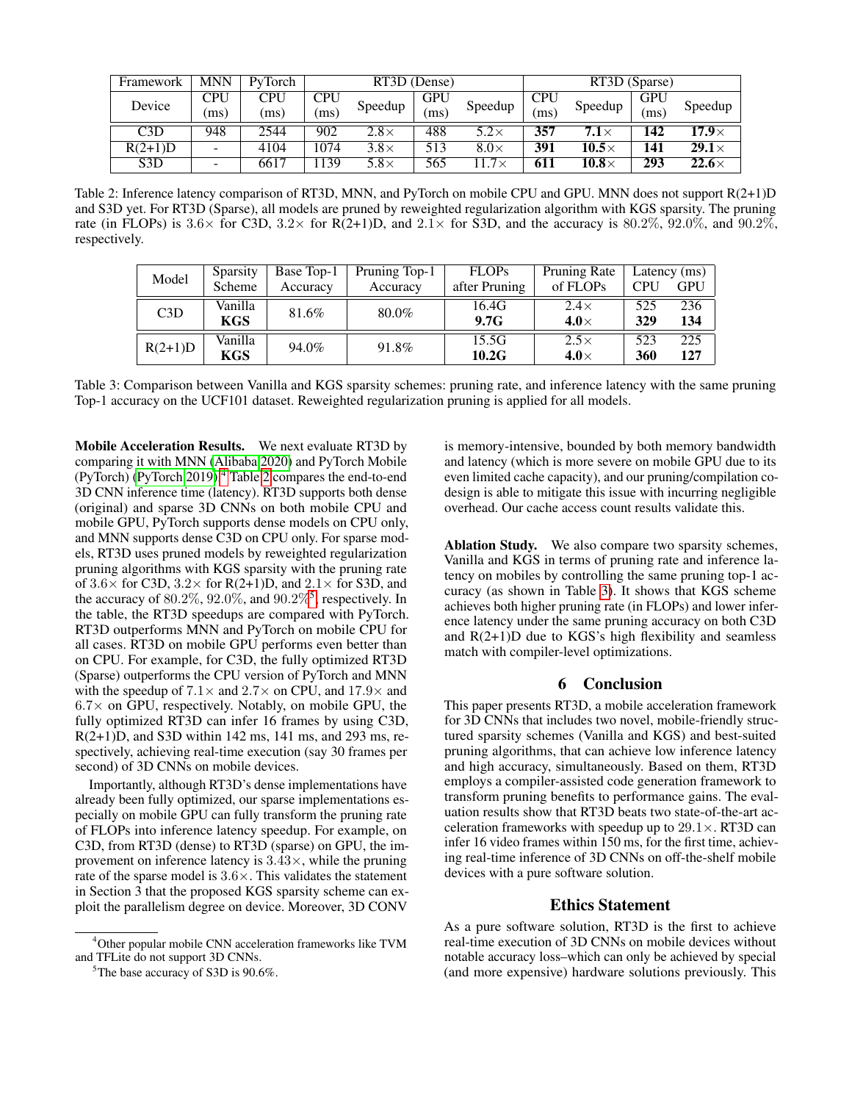<span id="page-6-1"></span>

| Framework        | <b>MNN</b>               | PyTorch | RT3D (Dense) |             |            |             | RT3D (Sparse) |                   |            |               |
|------------------|--------------------------|---------|--------------|-------------|------------|-------------|---------------|-------------------|------------|---------------|
| Device           | CPU                      | CPU     | <b>CPU</b>   | Speedup     | <b>GPU</b> | Speedup     | <b>CPU</b>    | Speedup           | <b>GPU</b> | Speedup       |
|                  | (ms)                     | (ms)    | (ms)         |             | ms         |             | ms            |                   | ms         |               |
| C3D              | 948                      | 2544    | 902          | $2.8\times$ | 488        | $5.2\times$ | 357           | 7.1 $\times$      | 142        | 17.9 $\times$ |
| $R(2+1)D$        | $\overline{a}$           | 4104    | 1074         | $3.8\times$ | 513        | $8.0\times$ | 391           | 10.5 $\times$     | 141        | $29.1\times$  |
| S <sub>3</sub> D | $\overline{\phantom{0}}$ | 6617    | 139          | $5.8\times$ | 565        | $1.7\times$ | 611           | $\bm{10.8}\times$ | 293        | $22.6\times$  |

Table 2: Inference latency comparison of RT3D, MNN, and PyTorch on mobile CPU and GPU. MNN does not support R(2+1)D and S3D yet. For RT3D (Sparse), all models are pruned by reweighted regularization algorithm with KGS sparsity. The pruning rate (in FLOPs) is  $3.6\times$  for C3D,  $3.2\times$  for R(2+1)D, and  $2.1\times$  for S3D, and the accuracy is  $80.2\%$ ,  $92.0\%$ , and  $90.2\%$ , respectively.

<span id="page-6-3"></span>

| Model     | Sparsity   | Base Top-1 | Pruning Top-1 | <b>FLOPs</b>  | Pruning Rate | Latency (ms) |     |
|-----------|------------|------------|---------------|---------------|--------------|--------------|-----|
|           | Scheme     | Accuracy   | Accuracy      | after Pruning | of FLOPs     | <b>CPU</b>   | GPU |
| C3D       | Vanilla    | 81.6%      | $80.0\%$      | 16.4G         | $2.4\times$  | 525          | 236 |
|           | <b>KGS</b> |            |               | 9.7G          | 4.0 $\times$ | 329          | 134 |
| $R(2+1)D$ | Vanilla    | 94.0%      | 91.8%         | 15.5G         | $2.5\times$  | 523          | 225 |
|           | <b>KGS</b> |            |               | 10.2G         | 4.0 $\times$ | 360          | 127 |

Table 3: Comparison between Vanilla and KGS sparsity schemes: pruning rate, and inference latency with the same pruning Top-1 accuracy on the UCF101 dataset. Reweighted regularization pruning is applied for all models.

Mobile Acceleration Results. We next evaluate RT3D by comparing it with MNN [\(Alibaba 2020\)](#page-7-4) and PyTorch Mobile (PyTorch) [\(PyTorch 2019\)](#page-8-2).<sup>[4](#page-6-0)</sup> Table [2](#page-6-1) compares the end-to-end 3D CNN inference time (latency). RT3D supports both dense (original) and sparse 3D CNNs on both mobile CPU and mobile GPU, PyTorch supports dense models on CPU only, and MNN supports dense C3D on CPU only. For sparse models, RT3D uses pruned models by reweighted regularization pruning algorithms with KGS sparsity with the pruning rate of  $3.6 \times$  for C3D,  $3.2 \times$  for R(2+1)D, and  $2.1 \times$  for S3D, and the accuracy of  $80.2\%$ ,  $92.0\%$ , and  $90.2\%$ <sup>[5](#page-6-2)</sup>, respectively. In the table, the RT3D speedups are compared with PyTorch. RT3D outperforms MNN and PyTorch on mobile CPU for all cases. RT3D on mobile GPU performs even better than on CPU. For example, for C3D, the fully optimized RT3D (Sparse) outperforms the CPU version of PyTorch and MNN with the speedup of  $7.1 \times$  and  $2.7 \times$  on CPU, and  $17.9 \times$  and  $6.7\times$  on GPU, respectively. Notably, on mobile GPU, the fully optimized RT3D can infer 16 frames by using C3D,  $R(2+1)D$ , and S3D within 142 ms, 141 ms, and 293 ms, respectively, achieving real-time execution (say 30 frames per second) of 3D CNNs on mobile devices.

Importantly, although RT3D's dense implementations have already been fully optimized, our sparse implementations especially on mobile GPU can fully transform the pruning rate of FLOPs into inference latency speedup. For example, on C3D, from RT3D (dense) to RT3D (sparse) on GPU, the improvement on inference latency is  $3.43\times$ , while the pruning rate of the sparse model is  $3.6 \times$ . This validates the statement in Section 3 that the proposed KGS sparsity scheme can exploit the parallelism degree on device. Moreover, 3D CONV

is memory-intensive, bounded by both memory bandwidth and latency (which is more severe on mobile GPU due to its even limited cache capacity), and our pruning/compilation codesign is able to mitigate this issue with incurring negligible overhead. Our cache access count results validate this.

Ablation Study. We also compare two sparsity schemes, Vanilla and KGS in terms of pruning rate and inference latency on mobiles by controlling the same pruning top-1 accuracy (as shown in Table [3\)](#page-6-3). It shows that KGS scheme achieves both higher pruning rate (in FLOPs) and lower inference latency under the same pruning accuracy on both C3D and  $R(2+1)D$  due to KGS's high flexibility and seamless match with compiler-level optimizations.

## 6 Conclusion

This paper presents RT3D, a mobile acceleration framework for 3D CNNs that includes two novel, mobile-friendly structured sparsity schemes (Vanilla and KGS) and best-suited pruning algorithms, that can achieve low inference latency and high accuracy, simultaneously. Based on them, RT3D employs a compiler-assisted code generation framework to transform pruning benefits to performance gains. The evaluation results show that RT3D beats two state-of-the-art acceleration frameworks with speedup up to  $29.1 \times$ . RT3D can infer 16 video frames within 150 ms, for the first time, achieving real-time inference of 3D CNNs on off-the-shelf mobile devices with a pure software solution.

#### Ethics Statement

As a pure software solution, RT3D is the first to achieve real-time execution of 3D CNNs on mobile devices without notable accuracy loss–which can only be achieved by special (and more expensive) hardware solutions previously. This

<span id="page-6-0"></span><sup>4</sup>Other popular mobile CNN acceleration frameworks like TVM and TFLite do not support 3D CNNs.

<span id="page-6-2"></span><sup>&</sup>lt;sup>5</sup>The base accuracy of S3D is 90.6%.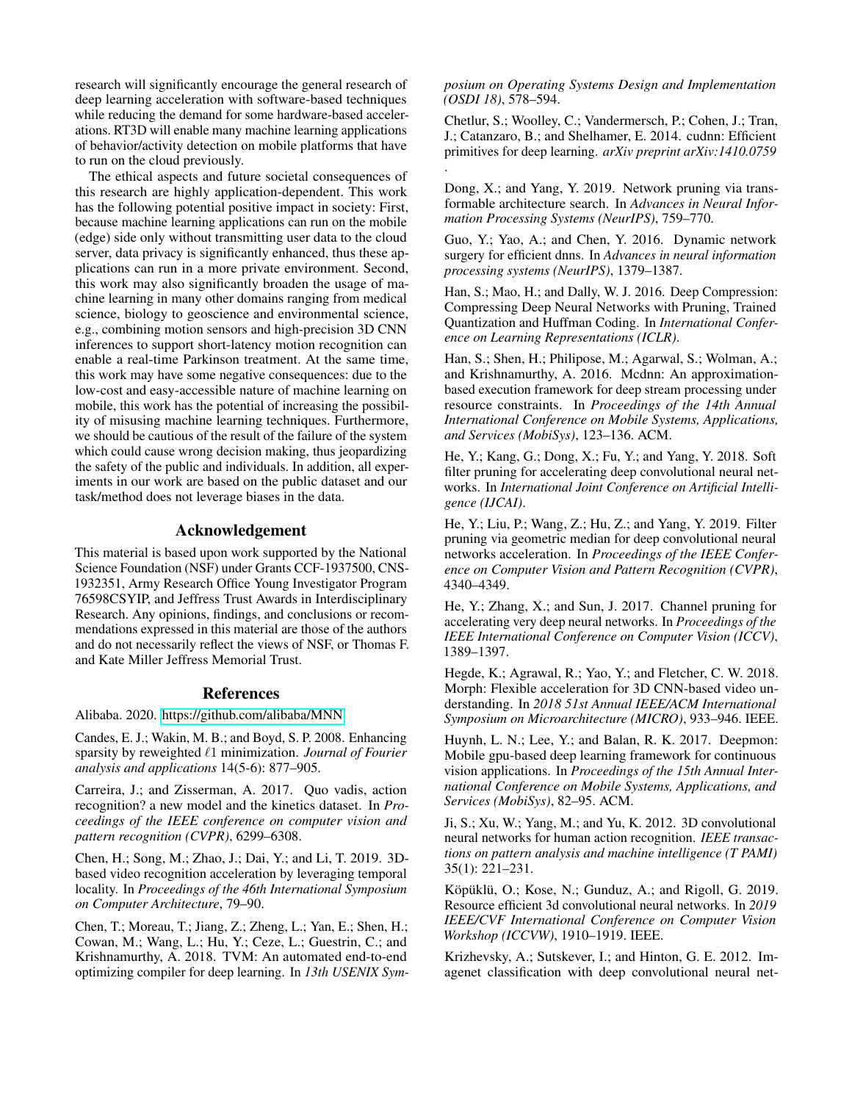research will significantly encourage the general research of deep learning acceleration with software-based techniques while reducing the demand for some hardware-based accelerations. RT3D will enable many machine learning applications of behavior/activity detection on mobile platforms that have to run on the cloud previously.

The ethical aspects and future societal consequences of this research are highly application-dependent. This work has the following potential positive impact in society: First, because machine learning applications can run on the mobile (edge) side only without transmitting user data to the cloud server, data privacy is significantly enhanced, thus these applications can run in a more private environment. Second, this work may also significantly broaden the usage of machine learning in many other domains ranging from medical science, biology to geoscience and environmental science, e.g., combining motion sensors and high-precision 3D CNN inferences to support short-latency motion recognition can enable a real-time Parkinson treatment. At the same time, this work may have some negative consequences: due to the low-cost and easy-accessible nature of machine learning on mobile, this work has the potential of increasing the possibility of misusing machine learning techniques. Furthermore, we should be cautious of the result of the failure of the system which could cause wrong decision making, thus jeopardizing the safety of the public and individuals. In addition, all experiments in our work are based on the public dataset and our task/method does not leverage biases in the data.

## Acknowledgement

This material is based upon work supported by the National Science Foundation (NSF) under Grants CCF-1937500, CNS-1932351, Army Research Office Young Investigator Program 76598CSYIP, and Jeffress Trust Awards in Interdisciplinary Research. Any opinions, findings, and conclusions or recommendations expressed in this material are those of the authors and do not necessarily reflect the views of NSF, or Thomas F. and Kate Miller Jeffress Memorial Trust.

#### References

<span id="page-7-4"></span>Alibaba. 2020. [https://github.com/alibaba/MNN.](https://github.com/alibaba/MNN)

<span id="page-7-17"></span>Candes, E. J.; Wakin, M. B.; and Boyd, S. P. 2008. Enhancing sparsity by reweighted  $\ell$ 1 minimization. *Journal of Fourier analysis and applications* 14(5-6): 877–905.

<span id="page-7-6"></span>Carreira, J.; and Zisserman, A. 2017. Quo vadis, action recognition? a new model and the kinetics dataset. In *Proceedings of the IEEE conference on computer vision and pattern recognition (CVPR)*, 6299–6308.

<span id="page-7-15"></span>Chen, H.; Song, M.; Zhao, J.; Dai, Y.; and Li, T. 2019. 3Dbased video recognition acceleration by leveraging temporal locality. In *Proceedings of the 46th International Symposium on Computer Architecture*, 79–90.

<span id="page-7-3"></span>Chen, T.; Moreau, T.; Jiang, Z.; Zheng, L.; Yan, E.; Shen, H.; Cowan, M.; Wang, L.; Hu, Y.; Ceze, L.; Guestrin, C.; and Krishnamurthy, A. 2018. TVM: An automated end-to-end optimizing compiler for deep learning. In *13th USENIX Sym-* *posium on Operating Systems Design and Implementation (OSDI 18)*, 578–594.

<span id="page-7-16"></span>Chetlur, S.; Woolley, C.; Vandermersch, P.; Cohen, J.; Tran, J.; Catanzaro, B.; and Shelhamer, E. 2014. cudnn: Efficient primitives for deep learning. *arXiv preprint arXiv:1410.0759* .

<span id="page-7-10"></span>Dong, X.; and Yang, Y. 2019. Network pruning via transformable architecture search. In *Advances in Neural Information Processing Systems (NeurIPS)*, 759–770.

<span id="page-7-9"></span>Guo, Y.; Yao, A.; and Chen, Y. 2016. Dynamic network surgery for efficient dnns. In *Advances in neural information processing systems (NeurIPS)*, 1379–1387.

<span id="page-7-8"></span>Han, S.; Mao, H.; and Dally, W. J. 2016. Deep Compression: Compressing Deep Neural Networks with Pruning, Trained Quantization and Huffman Coding. In *International Conference on Learning Representations (ICLR)*.

<span id="page-7-1"></span>Han, S.; Shen, H.; Philipose, M.; Agarwal, S.; Wolman, A.; and Krishnamurthy, A. 2016. Mcdnn: An approximationbased execution framework for deep stream processing under resource constraints. In *Proceedings of the 14th Annual International Conference on Mobile Systems, Applications, and Services (MobiSys)*, 123–136. ACM.

<span id="page-7-13"></span>He, Y.; Kang, G.; Dong, X.; Fu, Y.; and Yang, Y. 2018. Soft filter pruning for accelerating deep convolutional neural networks. In *International Joint Conference on Artificial Intelligence (IJCAI)*.

<span id="page-7-11"></span>He, Y.; Liu, P.; Wang, Z.; Hu, Z.; and Yang, Y. 2019. Filter pruning via geometric median for deep convolutional neural networks acceleration. In *Proceedings of the IEEE Conference on Computer Vision and Pattern Recognition (CVPR)*, 4340–4349.

<span id="page-7-12"></span>He, Y.; Zhang, X.; and Sun, J. 2017. Channel pruning for accelerating very deep neural networks. In *Proceedings of the IEEE International Conference on Computer Vision (ICCV)*, 1389–1397.

<span id="page-7-14"></span>Hegde, K.; Agrawal, R.; Yao, Y.; and Fletcher, C. W. 2018. Morph: Flexible acceleration for 3D CNN-based video understanding. In *2018 51st Annual IEEE/ACM International Symposium on Microarchitecture (MICRO)*, 933–946. IEEE.

<span id="page-7-2"></span>Huynh, L. N.; Lee, Y.; and Balan, R. K. 2017. Deepmon: Mobile gpu-based deep learning framework for continuous vision applications. In *Proceedings of the 15th Annual International Conference on Mobile Systems, Applications, and Services (MobiSys)*, 82–95. ACM.

<span id="page-7-5"></span>Ji, S.; Xu, W.; Yang, M.; and Yu, K. 2012. 3D convolutional neural networks for human action recognition. *IEEE transactions on pattern analysis and machine intelligence (T PAMI)* 35(1): 221–231.

<span id="page-7-7"></span>Köpüklü, O.; Kose, N.; Gunduz, A.; and Rigoll, G. 2019. Resource efficient 3d convolutional neural networks. In *2019 IEEE/CVF International Conference on Computer Vision Workshop (ICCVW)*, 1910–1919. IEEE.

<span id="page-7-0"></span>Krizhevsky, A.; Sutskever, I.; and Hinton, G. E. 2012. Imagenet classification with deep convolutional neural net